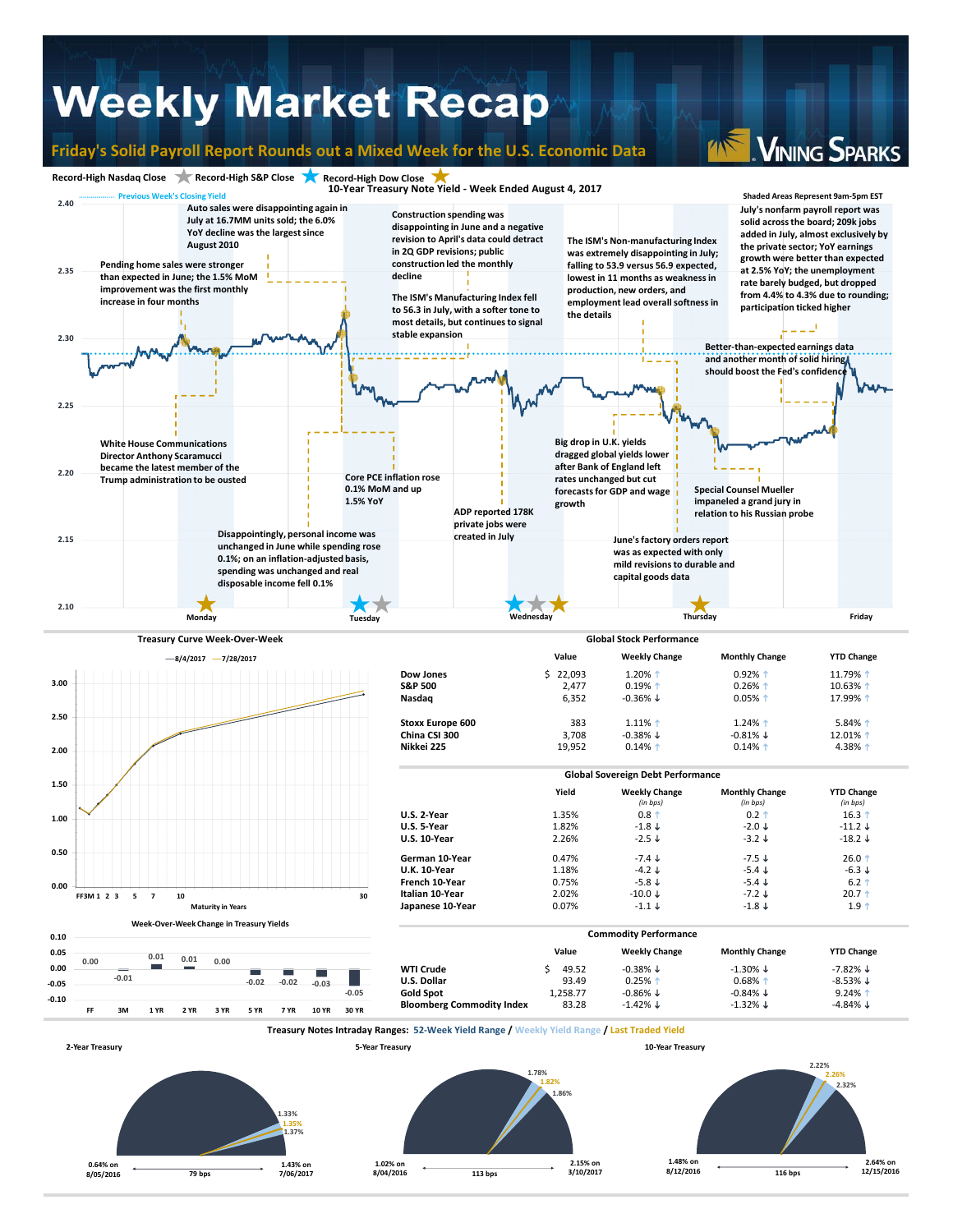## **Weekly Market Recap**

#### **Friday's Solid Payroll Report Rounds out a Mixed Week for the U.S. Economic Data**

**VINING SPARKS**